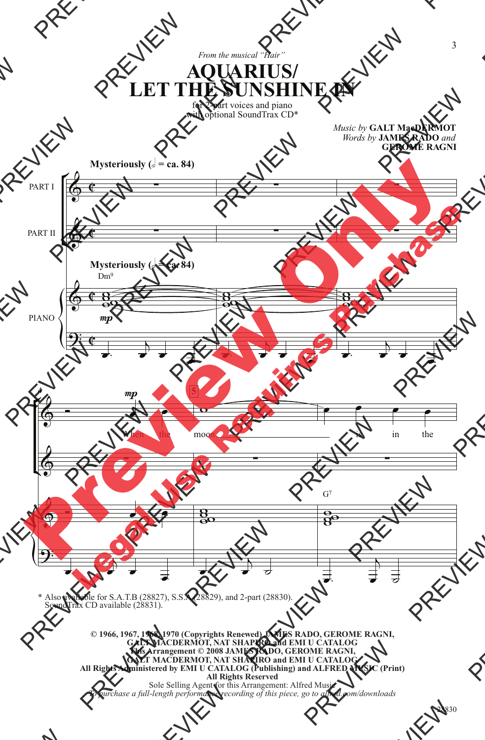## *From the musical "Hair"* **AQUARIUS/<br>LET THE SUNSHI**  $\tilde{\mathbf{E}}$  sunshine in

for 2-part voices and piano with optional SoundTrax CD\*

> *Music by* **GALT MacDERMOT** *Words by* **JAMES RADO** *and* **GEROME RAGNI**



SoundTrax CD available (28831).

**© 1966, 1967, 1968, 1970 (Copyrights Renewed) JAMES RADO, GEROME RAGNI, GALT MACDERMOT, NAT SHAPIRO and EMI U CATALOG This Arrangement © 2008 JAMES RADO, GEROME RAGNI, GALT MACDERMOT, NAT SHAPIRO and EMI U CATALOG** © 1966, 1967, 1968, 1970 (Copyrights Renewed) JAMES RADO, GEROME RAGNI,<br>GALT MACDERMOT, NAT SHAPIRO and EMI U CATALOG<br>This Arrangement © 2008 JAMES RADO, GEROME RAGNI,<br>GALT MACDERMOT, NAT SHAPIRO and EMI U CATALOG<br>All Righ **All Rights Reserved All Rights Reserved**<br>Sole Selling Agent for this Arrangement: Alfred Music

*To purchase a full-length performance recording of this piece, go to alfred.com/downloads To purchase a full-length performance recording of this piece, go to alfred.com/downloads*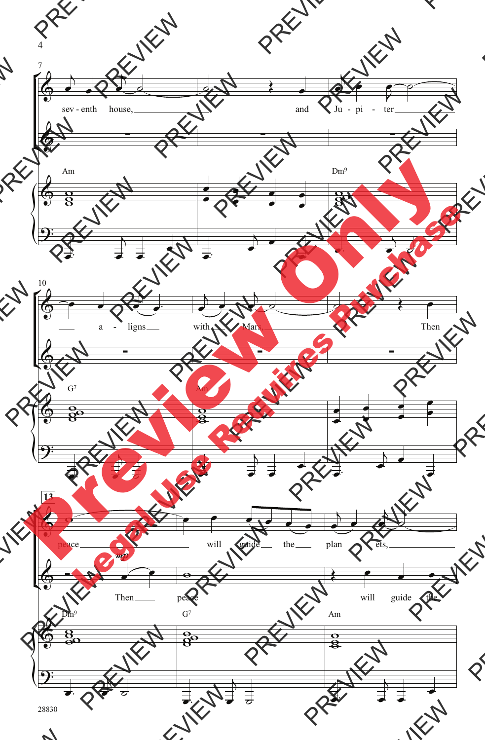

4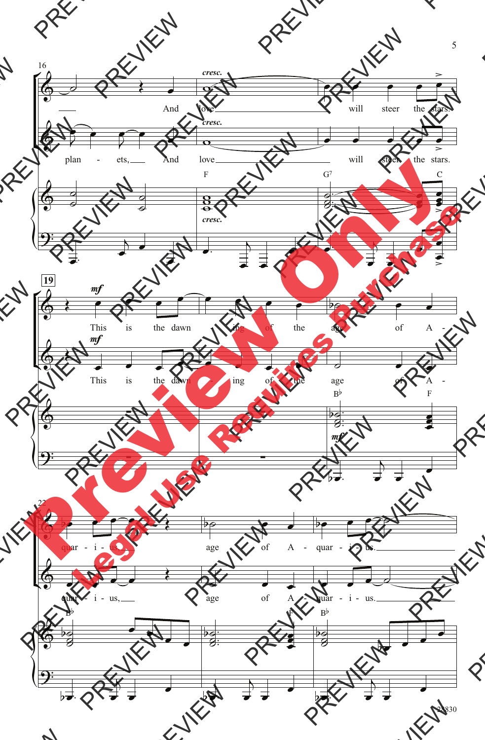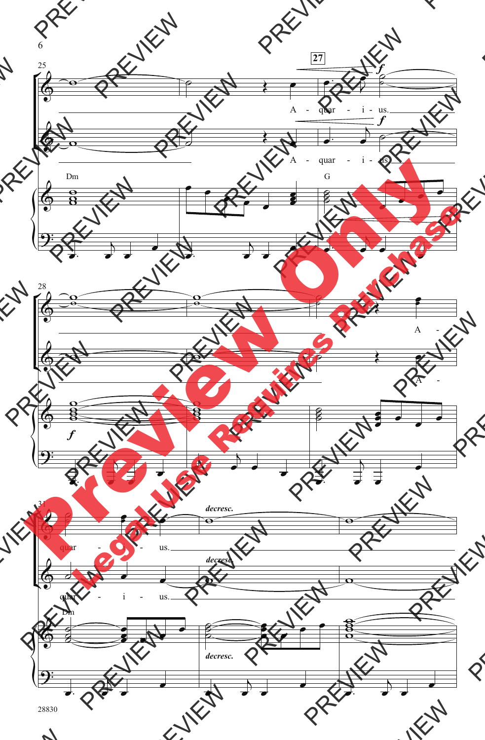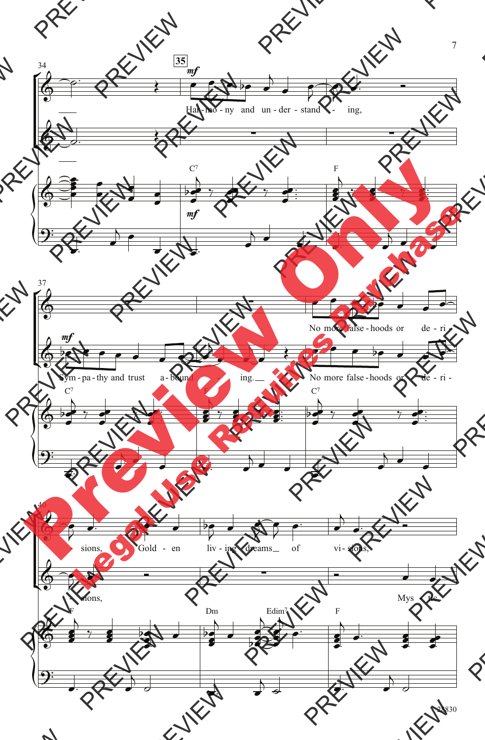

28830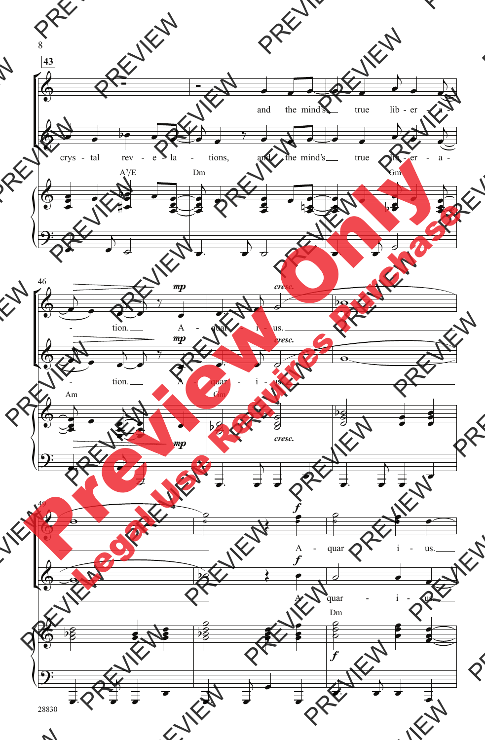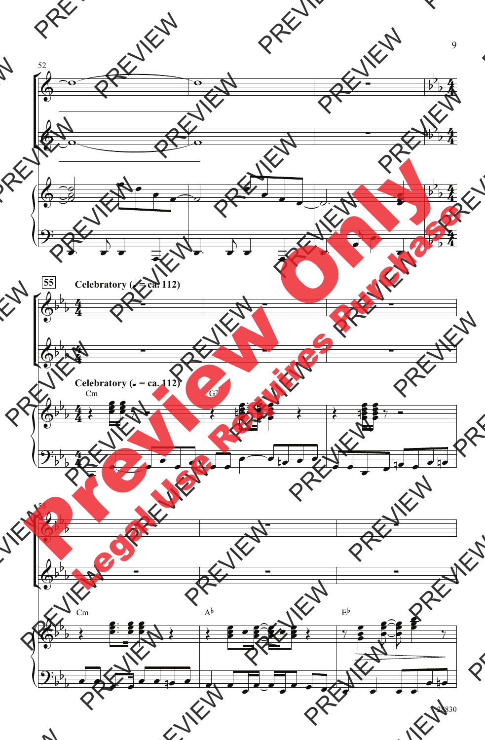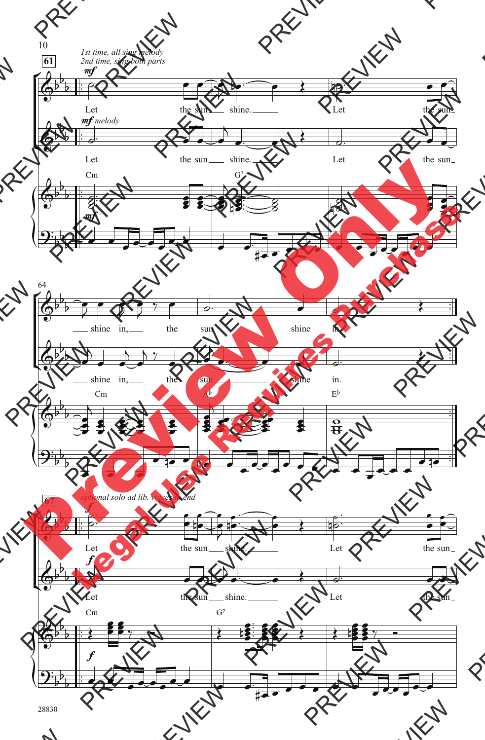

28830